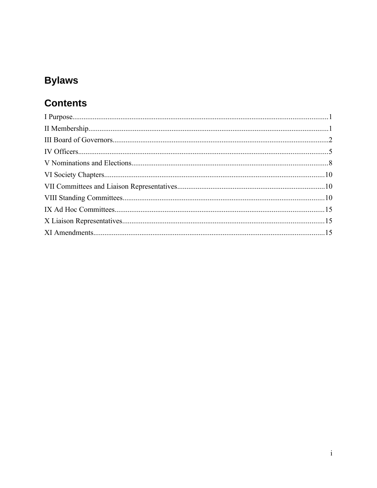# **Bylaws**

# **Contents**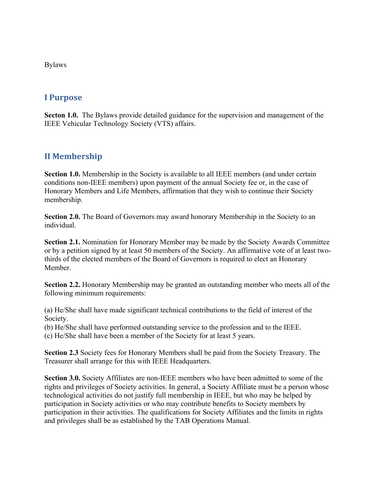## Bylaws

## <span id="page-1-1"></span>**I Purpose**

**Secton 1.0.** The Bylaws provide detailed guidance for the supervision and management of the IEEE Vehicular Technology Society (VTS) affairs.

# <span id="page-1-0"></span>**II Membership**

**Section 1.0.** Membership in the Society is available to all IEEE members (and under certain conditions non-IEEE members) upon payment of the annual Society fee or, in the case of Honorary Members and Life Members, affirmation that they wish to continue their Society membership.

**Section 2.0.** The Board of Governors may award honorary Membership in the Society to an individual.

**Section 2.1.** Nomination for Honorary Member may be made by the Society Awards Committee or by a petition signed by at least 50 members of the Society. An affirmative vote of at least twothirds of the elected members of the Board of Governors is required to elect an Honorary Member.

**Section 2.2.** Honorary Membership may be granted an outstanding member who meets all of the following minimum requirements:

(a) He/She shall have made significant technical contributions to the field of interest of the Society.

(b) He/She shall have performed outstanding service to the profession and to the IEEE.

(c) He/She shall have been a member of the Society for at least 5 years.

**Section 2.3** Society fees for Honorary Members shall be paid from the Society Treasury. The Treasurer shall arrange for this with IEEE Headquarters.

**Section 3.0.** Society Affiliates are non-IEEE members who have been admitted to some of the rights and privileges of Society activities. In general, a Society Affiliate must be a person whose technological activities do not justify full membership in IEEE, but who may be helped by participation in Society activities or who may contribute benefits to Society members by participation in their activities. The qualifications for Society Affiliates and the limits in rights and privileges shall be as established by the TAB Operations Manual.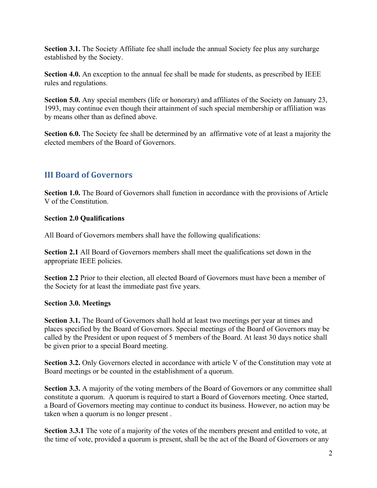**Section 3.1.** The Society Affiliate fee shall include the annual Society fee plus any surcharge established by the Society.

**Section 4.0.** An exception to the annual fee shall be made for students, as prescribed by IEEE rules and regulations.

**Section 5.0.** Any special members (life or honorary) and affiliates of the Society on January 23, 1993, may continue even though their attainment of such special membership or affiliation was by means other than as defined above.

**Section 6.0.** The Society fee shall be determined by an affirmative vote of at least a majority the elected members of the Board of Governors.

# <span id="page-2-0"></span>**III Board of Governors**

**Section 1.0.** The Board of Governors shall function in accordance with the provisions of Article V of the Constitution.

## **Section 2.0 Qualifications**

All Board of Governors members shall have the following qualifications:

**Section 2.1** All Board of Governors members shall meet the qualifications set down in the appropriate IEEE policies.

**Section 2.2** Prior to their election, all elected Board of Governors must have been a member of the Society for at least the immediate past five years.

## **Section 3.0. Meetings**

**Section 3.1.** The Board of Governors shall hold at least two meetings per year at times and places specified by the Board of Governors. Special meetings of the Board of Governors may be called by the President or upon request of 5 members of the Board. At least 30 days notice shall be given prior to a special Board meeting.

**Section 3.2.** Only Governors elected in accordance with article V of the Constitution may vote at Board meetings or be counted in the establishment of a quorum.

**Section 3.3.** A majority of the voting members of the Board of Governors or any committee shall constitute a quorum. A quorum is required to start a Board of Governors meeting. Once started, a Board of Governors meeting may continue to conduct its business. However, no action may be taken when a quorum is no longer present .

**Section 3.3.1** The vote of a majority of the votes of the members present and entitled to vote, at the time of vote, provided a quorum is present, shall be the act of the Board of Governors or any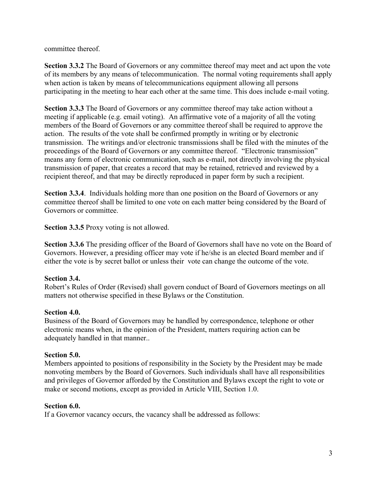committee thereof.

**Section 3.3.2** The Board of Governors or any committee thereof may meet and act upon the vote of its members by any means of telecommunication. The normal voting requirements shall apply when action is taken by means of telecommunications equipment allowing all persons participating in the meeting to hear each other at the same time. This does include e-mail voting.

**Section 3.3.3** The Board of Governors or any committee thereof may take action without a meeting if applicable (e.g. email voting). An affirmative vote of a majority of all the voting members of the Board of Governors or any committee thereof shall be required to approve the action. The results of the vote shall be confirmed promptly in writing or by electronic transmission. The writings and/or electronic transmissions shall be filed with the minutes of the proceedings of the Board of Governors or any committee thereof. "Electronic transmission" means any form of electronic communication, such as e-mail, not directly involving the physical transmission of paper, that creates a record that may be retained, retrieved and reviewed by a recipient thereof, and that may be directly reproduced in paper form by such a recipient.

**Section 3.3.4.** Individuals holding more than one position on the Board of Governors or any committee thereof shall be limited to one vote on each matter being considered by the Board of Governors or committee.

**Section 3.3.5** Proxy voting is not allowed.

**Section 3.3.6** The presiding officer of the Board of Governors shall have no vote on the Board of Governors. However, a presiding officer may vote if he/she is an elected Board member and if either the vote is by secret ballot or unless their vote can change the outcome of the vote.

## **Section 3.4.**

Robert's Rules of Order (Revised) shall govern conduct of Board of Governors meetings on all matters not otherwise specified in these Bylaws or the Constitution.

#### **Section 4.0.**

Business of the Board of Governors may be handled by correspondence, telephone or other electronic means when, in the opinion of the President, matters requiring action can be adequately handled in that manner..

#### **Section 5.0.**

Members appointed to positions of responsibility in the Society by the President may be made nonvoting members by the Board of Governors. Such individuals shall have all responsibilities and privileges of Governor afforded by the Constitution and Bylaws except the right to vote or make or second motions, except as provided in Article VIII, Section 1.0.

#### **Section 6.0.**

If a Governor vacancy occurs, the vacancy shall be addressed as follows: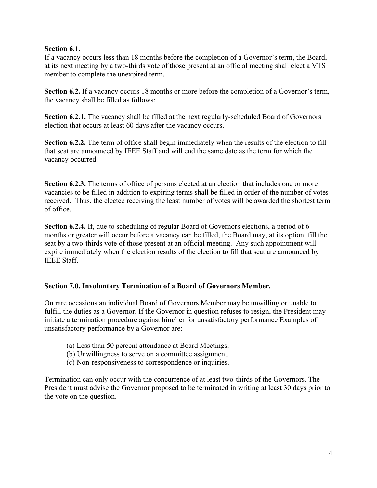#### **Section 6.1.**

If a vacancy occurs less than 18 months before the completion of a Governor's term, the Board, at its next meeting by a two-thirds vote of those present at an official meeting shall elect a VTS member to complete the unexpired term.

**Section 6.2.** If a vacancy occurs 18 months or more before the completion of a Governor's term, the vacancy shall be filled as follows:

**Section 6.2.1.** The vacancy shall be filled at the next regularly-scheduled Board of Governors election that occurs at least 60 days after the vacancy occurs.

**Section 6.2.2.** The term of office shall begin immediately when the results of the election to fill that seat are announced by IEEE Staff and will end the same date as the term for which the vacancy occurred.

**Section 6.2.3.** The terms of office of persons elected at an election that includes one or more vacancies to be filled in addition to expiring terms shall be filled in order of the number of votes received. Thus, the electee receiving the least number of votes will be awarded the shortest term of office.

**Section 6.2.4.** If, due to scheduling of regular Board of Governors elections, a period of 6 months or greater will occur before a vacancy can be filled, the Board may, at its option, fill the seat by a two-thirds vote of those present at an official meeting. Any such appointment will expire immediately when the election results of the election to fill that seat are announced by IEEE Staff.

#### **Section 7.0. Involuntary Termination of a Board of Governors Member.**

On rare occasions an individual Board of Governors Member may be unwilling or unable to fulfill the duties as a Governor. If the Governor in question refuses to resign, the President may initiate a termination procedure against him/her for unsatisfactory performance Examples of unsatisfactory performance by a Governor are:

- (a) Less than 50 percent attendance at Board Meetings.
- (b) Unwillingness to serve on a committee assignment.
- (c) Non-responsiveness to correspondence or inquiries.

Termination can only occur with the concurrence of at least two-thirds of the Governors. The President must advise the Governor proposed to be terminated in writing at least 30 days prior to the vote on the question.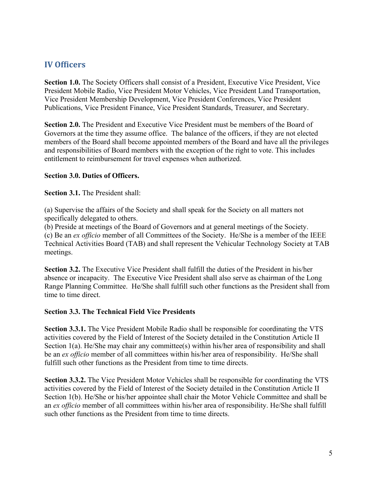# <span id="page-5-0"></span>**IV Officers**

**Section 1.0.** The Society Officers shall consist of a President, Executive Vice President, Vice President Mobile Radio, Vice President Motor Vehicles, Vice President Land Transportation, Vice President Membership Development, Vice President Conferences, Vice President Publications, Vice President Finance, Vice President Standards, Treasurer, and Secretary.

**Section 2.0.** The President and Executive Vice President must be members of the Board of Governors at the time they assume office. The balance of the officers, if they are not elected members of the Board shall become appointed members of the Board and have all the privileges and responsibilities of Board members with the exception of the right to vote. This includes entitlement to reimbursement for travel expenses when authorized.

#### **Section 3.0. Duties of Officers.**

**Section 3.1.** The President shall:

(a) Supervise the affairs of the Society and shall speak for the Society on all matters not specifically delegated to others.

(b) Preside at meetings of the Board of Governors and at general meetings of the Society. (c) Be an *ex officio* member of all Committees of the Society. He/She is a member of the IEEE Technical Activities Board (TAB) and shall represent the Vehicular Technology Society at TAB meetings.

**Section 3.2.** The Executive Vice President shall fulfill the duties of the President in his/her absence or incapacity. The Executive Vice President shall also serve as chairman of the Long Range Planning Committee. He/She shall fulfill such other functions as the President shall from time to time direct.

## **Section 3.3. The Technical Field Vice Presidents**

**Section 3.3.1.** The Vice President Mobile Radio shall be responsible for coordinating the VTS activities covered by the Field of Interest of the Society detailed in the Constitution Article II Section 1(a). He/She may chair any committee(s) within his/her area of responsibility and shall be an *ex officio* member of all committees within his/her area of responsibility. He/She shall fulfill such other functions as the President from time to time directs.

**Section 3.3.2.** The Vice President Motor Vehicles shall be responsible for coordinating the VTS activities covered by the Field of Interest of the Society detailed in the Constitution Article II Section 1(b). He/She or his/her appointee shall chair the Motor Vehicle Committee and shall be an *ex officio* member of all committees within his/her area of responsibility. He/She shall fulfill such other functions as the President from time to time directs.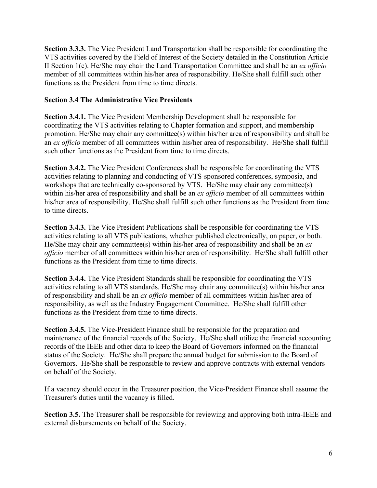**Section 3.3.3.** The Vice President Land Transportation shall be responsible for coordinating the VTS activities covered by the Field of Interest of the Society detailed in the Constitution Article II Section 1(c). He/She may chair the Land Transportation Committee and shall be an *ex officio* member of all committees within his/her area of responsibility. He/She shall fulfill such other functions as the President from time to time directs.

## **Section 3.4 The Administrative Vice Presidents**

**Section 3.4.1.** The Vice President Membership Development shall be responsible for coordinating the VTS activities relating to Chapter formation and support, and membership promotion. He/She may chair any committee(s) within his/her area of responsibility and shall be an *ex officio* member of all committees within his/her area of responsibility. He/She shall fulfill such other functions as the President from time to time directs.

**Section 3.4.2.** The Vice President Conferences shall be responsible for coordinating the VTS activities relating to planning and conducting of VTS-sponsored conferences, symposia, and workshops that are technically co-sponsored by VTS. He/She may chair any committee(s) within his/her area of responsibility and shall be an *ex officio* member of all committees within his/her area of responsibility. He/She shall fulfill such other functions as the President from time to time directs.

**Section 3.4.3.** The Vice President Publications shall be responsible for coordinating the VTS activities relating to all VTS publications, whether published electronically, on paper, or both. He/She may chair any committee(s) within his/her area of responsibility and shall be an *ex officio* member of all committees within his/her area of responsibility. He/She shall fulfill other functions as the President from time to time directs.

**Section 3.4.4.** The Vice President Standards shall be responsible for coordinating the VTS activities relating to all VTS standards. He/She may chair any committee(s) within his/her area of responsibility and shall be an *ex officio* member of all committees within his/her area of responsibility, as well as the Industry Engagement Committee. He/She shall fulfill other functions as the President from time to time directs.

**Section 3.4.5.** The Vice-President Finance shall be responsible for the preparation and maintenance of the financial records of the Society. He/She shall utilize the financial accounting records of the IEEE and other data to keep the Board of Governors informed on the financial status of the Society. He/She shall prepare the annual budget for submission to the Board of Governors. He/She shall be responsible to review and approve contracts with external vendors on behalf of the Society.

If a vacancy should occur in the Treasurer position, the Vice-President Finance shall assume the Treasurer's duties until the vacancy is filled.

**Section 3.5.** The Treasurer shall be responsible for reviewing and approving both intra-IEEE and external disbursements on behalf of the Society.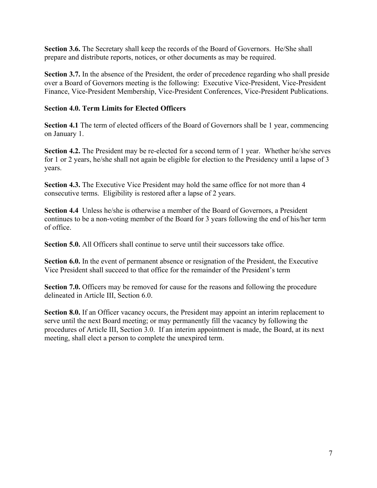**Section 3.6.** The Secretary shall keep the records of the Board of Governors. He/She shall prepare and distribute reports, notices, or other documents as may be required.

**Section 3.7.** In the absence of the President, the order of precedence regarding who shall preside over a Board of Governors meeting is the following: Executive Vice-President, Vice-President Finance, Vice-President Membership, Vice-President Conferences, Vice-President Publications.

## **Section 4.0. Term Limits for Elected Officers**

**Section 4.1** The term of elected officers of the Board of Governors shall be 1 year, commencing on January 1.

**Section 4.2.** The President may be re-elected for a second term of 1 year. Whether he/she serves for 1 or 2 years, he/she shall not again be eligible for election to the Presidency until a lapse of 3 years.

**Section 4.3.** The Executive Vice President may hold the same office for not more than 4 consecutive terms. Eligibility is restored after a lapse of 2 years.

**Section 4.4** Unless he/she is otherwise a member of the Board of Governors, a President continues to be a non-voting member of the Board for 3 years following the end of his/her term of office.

**Section 5.0.** All Officers shall continue to serve until their successors take office.

**Section 6.0.** In the event of permanent absence or resignation of the President, the Executive Vice President shall succeed to that office for the remainder of the President's term

**Section 7.0.** Officers may be removed for cause for the reasons and following the procedure delineated in Article III, Section 6.0.

**Section 8.0.** If an Officer vacancy occurs, the President may appoint an interim replacement to serve until the next Board meeting; or may permanently fill the vacancy by following the procedures of Article III, Section 3.0. If an interim appointment is made, the Board, at its next meeting, shall elect a person to complete the unexpired term.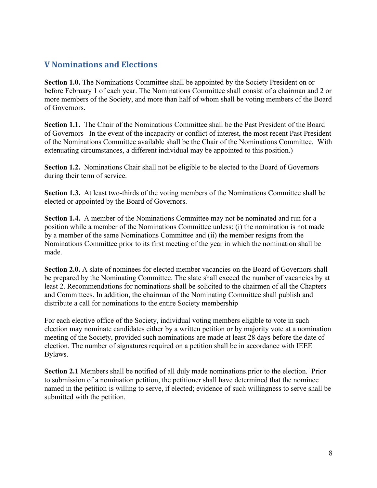# <span id="page-8-0"></span>**V Nominations and Elections**

**Section 1.0.** The Nominations Committee shall be appointed by the Society President on or before February 1 of each year. The Nominations Committee shall consist of a chairman and 2 or more members of the Society, and more than half of whom shall be voting members of the Board of Governors.

**Section 1.1.** The Chair of the Nominations Committee shall be the Past President of the Board of Governors In the event of the incapacity or conflict of interest, the most recent Past President of the Nominations Committee available shall be the Chair of the Nominations Committee. With extenuating circumstances, a different individual may be appointed to this position.)

**Section 1.2.** Nominations Chair shall not be eligible to be elected to the Board of Governors during their term of service.

**Section 1.3.** At least two-thirds of the voting members of the Nominations Committee shall be elected or appointed by the Board of Governors.

**Section 1.4.** A member of the Nominations Committee may not be nominated and run for a position while a member of the Nominations Committee unless: (i) the nomination is not made by a member of the same Nominations Committee and (ii) the member resigns from the Nominations Committee prior to its first meeting of the year in which the nomination shall be made.

**Section 2.0.** A slate of nominees for elected member vacancies on the Board of Governors shall be prepared by the Nominating Committee. The slate shall exceed the number of vacancies by at least 2. Recommendations for nominations shall be solicited to the chairmen of all the Chapters and Committees. In addition, the chairman of the Nominating Committee shall publish and distribute a call for nominations to the entire Society membership

For each elective office of the Society, individual voting members eligible to vote in such election may nominate candidates either by a written petition or by majority vote at a nomination meeting of the Society, provided such nominations are made at least 28 days before the date of election. The number of signatures required on a petition shall be in accordance with IEEE Bylaws.

**Section 2.1** Members shall be notified of all duly made nominations prior to the election. Prior to submission of a nomination petition, the petitioner shall have determined that the nominee named in the petition is willing to serve, if elected; evidence of such willingness to serve shall be submitted with the petition.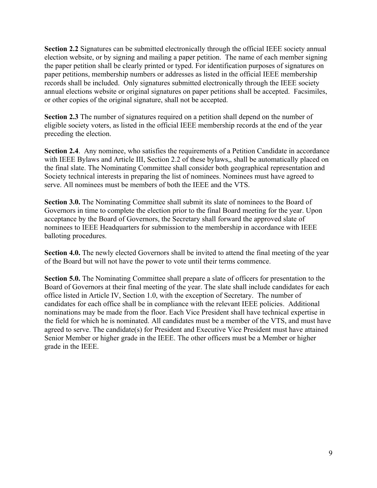**Section 2.2** Signatures can be submitted electronically through the official IEEE society annual election website, or by signing and mailing a paper petition. The name of each member signing the paper petition shall be clearly printed or typed. For identification purposes of signatures on paper petitions, membership numbers or addresses as listed in the official IEEE membership records shall be included. Only signatures submitted electronically through the IEEE society annual elections website or original signatures on paper petitions shall be accepted. Facsimiles, or other copies of the original signature, shall not be accepted.

**Section 2.3** The number of signatures required on a petition shall depend on the number of eligible society voters, as listed in the official IEEE membership records at the end of the year preceding the election.

**Section 2.4.** Any nominee, who satisfies the requirements of a Petition Candidate in accordance with IEEE Bylaws and Article III, Section 2.2 of these bylaws,, shall be automatically placed on the final slate. The Nominating Committee shall consider both geographical representation and Society technical interests in preparing the list of nominees. Nominees must have agreed to serve. All nominees must be members of both the IEEE and the VTS.

**Section 3.0.** The Nominating Committee shall submit its slate of nominees to the Board of Governors in time to complete the election prior to the final Board meeting for the year. Upon acceptance by the Board of Governors, the Secretary shall forward the approved slate of nominees to IEEE Headquarters for submission to the membership in accordance with IEEE balloting procedures.

**Section 4.0.** The newly elected Governors shall be invited to attend the final meeting of the year of the Board but will not have the power to vote until their terms commence.

**Section 5.0.** The Nominating Committee shall prepare a slate of officers for presentation to the Board of Governors at their final meeting of the year. The slate shall include candidates for each office listed in Article IV, Section 1.0, with the exception of Secretary. The number of candidates for each office shall be in compliance with the relevant IEEE policies. Additional nominations may be made from the floor. Each Vice President shall have technical expertise in the field for which he is nominated. All candidates must be a member of the VTS, and must have agreed to serve. The candidate(s) for President and Executive Vice President must have attained Senior Member or higher grade in the IEEE. The other officers must be a Member or higher grade in the IEEE.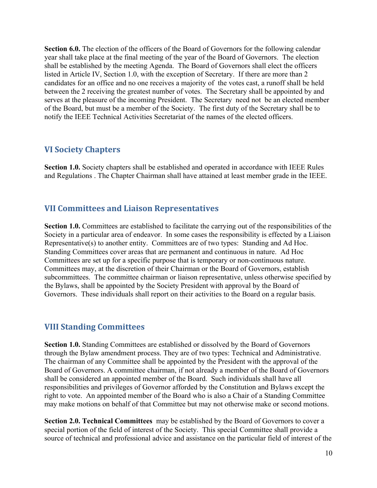**Section 6.0.** The election of the officers of the Board of Governors for the following calendar year shall take place at the final meeting of the year of the Board of Governors. The election shall be established by the meeting Agenda. The Board of Governors shall elect the officers listed in Article IV, Section 1.0, with the exception of Secretary. If there are more than 2 candidates for an office and no one receives a majority of the votes cast, a runoff shall be held between the 2 receiving the greatest number of votes. The Secretary shall be appointed by and serves at the pleasure of the incoming President. The Secretary need not be an elected member of the Board, but must be a member of the Society. The first duty of the Secretary shall be to notify the IEEE Technical Activities Secretariat of the names of the elected officers.

## <span id="page-10-2"></span>**VI Society Chapters**

**Section 1.0.** Society chapters shall be established and operated in accordance with IEEE Rules and Regulations . The Chapter Chairman shall have attained at least member grade in the IEEE.

## <span id="page-10-1"></span>**VII Committees and Liaison Representatives**

**Section 1.0.** Committees are established to facilitate the carrying out of the responsibilities of the Society in a particular area of endeavor. In some cases the responsibility is effected by a Liaison Representative(s) to another entity. Committees are of two types: Standing and Ad Hoc. Standing Committees cover areas that are permanent and continuous in nature. Ad Hoc Committees are set up for a specific purpose that is temporary or non-continuous nature. Committees may, at the discretion of their Chairman or the Board of Governors, establish subcommittees. The committee chairman or liaison representative, unless otherwise specified by the Bylaws, shall be appointed by the Society President with approval by the Board of Governors. These individuals shall report on their activities to the Board on a regular basis.

## <span id="page-10-0"></span>**VIII Standing Committees**

**Section 1.0.** Standing Committees are established or dissolved by the Board of Governors through the Bylaw amendment process. They are of two types: Technical and Administrative. The chairman of any Committee shall be appointed by the President with the approval of the Board of Governors. A committee chairman, if not already a member of the Board of Governors shall be considered an appointed member of the Board. Such individuals shall have all responsibilities and privileges of Governor afforded by the Constitution and Bylaws except the right to vote. An appointed member of the Board who is also a Chair of a Standing Committee may make motions on behalf of that Committee but may not otherwise make or second motions.

**Section 2.0. Technical Committees** may be established by the Board of Governors to cover a special portion of the field of interest of the Society. This special Committee shall provide a source of technical and professional advice and assistance on the particular field of interest of the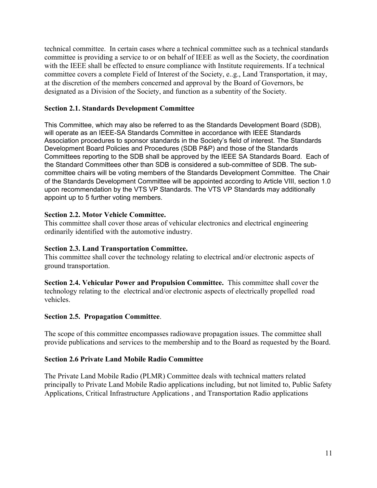technical committee. In certain cases where a technical committee such as a technical standards committee is providing a service to or on behalf of IEEE as well as the Society, the coordination with the IEEE shall be effected to ensure compliance with Institute requirements. If a technical committee covers a complete Field of Interest of the Society, e..g., Land Transportation, it may, at the discretion of the members concerned and approval by the Board of Governors, be designated as a Division of the Society, and function as a subentity of the Society.

#### **Section 2.1. Standards Development Committee**

This Committee, which may also be referred to as the Standards Development Board (SDB), will operate as an IEEE-SA Standards Committee in accordance with IEEE Standards Association procedures to sponsor standards in the Society's field of interest. The Standards Development Board Policies and Procedures (SDB P&P) and those of the Standards Committees reporting to the SDB shall be approved by the IEEE SA Standards Board. Each of the Standard Committees other than SDB is considered a sub-committee of SDB. The subcommittee chairs will be voting members of the Standards Development Committee. The Chair of the Standards Development Committee will be appointed according to Article VIII, section 1.0 upon recommendation by the VTS VP Standards. The VTS VP Standards may additionally appoint up to 5 further voting members.

#### **Section 2.2. Motor Vehicle Committee.**

This committee shall cover those areas of vehicular electronics and electrical engineering ordinarily identified with the automotive industry.

## **Section 2.3. Land Transportation Committee.**

This committee shall cover the technology relating to electrical and/or electronic aspects of ground transportation.

**Section 2.4. Vehicular Power and Propulsion Committee.** This committee shall cover the technology relating to the electrical and/or electronic aspects of electrically propelled road vehicles.

#### **Section 2.5. Propagation Committee**.

The scope of this committee encompasses radiowave propagation issues. The committee shall provide publications and services to the membership and to the Board as requested by the Board.

## **Section 2.6 Private Land Mobile Radio Committee**

The Private Land Mobile Radio (PLMR) Committee deals with technical matters related principally to Private Land Mobile Radio applications including, but not limited to, Public Safety Applications, Critical Infrastructure Applications , and Transportation Radio applications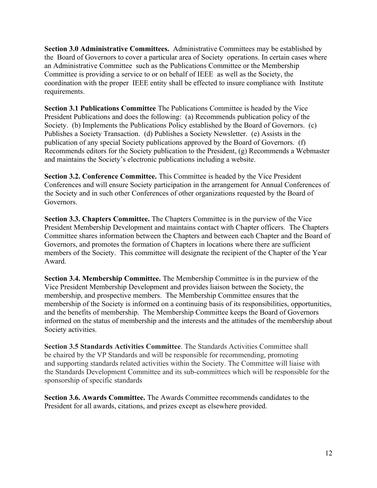**Section 3.0 Administrative Committees.** Administrative Committees may be established by the Board of Governors to cover a particular area of Society operations. In certain cases where an Administrative Committee such as the Publications Committee or the Membership Committee is providing a service to or on behalf of IEEE as well as the Society, the coordination with the proper IEEE entity shall be effected to insure compliance with Institute requirements.

**Section 3.1 Publications Committee** The Publications Committee is headed by the Vice President Publications and does the following: (a) Recommends publication policy of the Society. (b) Implements the Publications Policy established by the Board of Governors. (c) Publishes a Society Transaction. (d) Publishes a Society Newsletter. (e) Assists in the publication of any special Society publications approved by the Board of Governors. (f) Recommends editors for the Society publication to the President, (g) Recommends a Webmaster and maintains the Society's electronic publications including a website.

**Section 3.2. Conference Committee.** This Committee is headed by the Vice President Conferences and will ensure Society participation in the arrangement for Annual Conferences of the Society and in such other Conferences of other organizations requested by the Board of Governors.

**Section 3.3. Chapters Committee.** The Chapters Committee is in the purview of the Vice President Membership Development and maintains contact with Chapter officers. The Chapters Committee shares information between the Chapters and between each Chapter and the Board of Governors, and promotes the formation of Chapters in locations where there are sufficient members of the Society. This committee will designate the recipient of the Chapter of the Year Award.

**Section 3.4. Membership Committee.** The Membership Committee is in the purview of the Vice President Membership Development and provides liaison between the Society, the membership, and prospective members. The Membership Committee ensures that the membership of the Society is informed on a continuing basis of its responsibilities, opportunities, and the benefits of membership. The Membership Committee keeps the Board of Governors informed on the status of membership and the interests and the attitudes of the membership about Society activities.

**Section 3.5 Standards Activities Committee**. The Standards Activities Committee shall be chaired by the VP Standards and will be responsible for recommending, promoting and supporting standards related activities within the Society. The Committee will liaise with the Standards Development Committee and its sub-committees which will be responsible for the sponsorship of specific standards

**Section 3.6. Awards Committee.** The Awards Committee recommends candidates to the President for all awards, citations, and prizes except as elsewhere provided.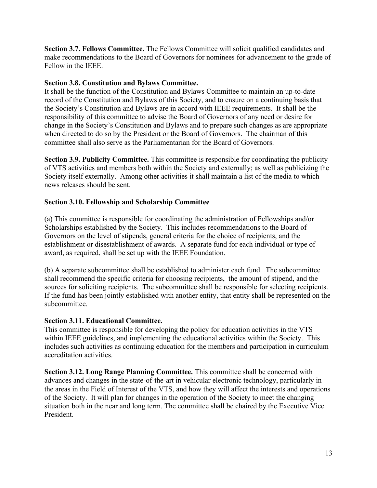**Section 3.7. Fellows Committee.** The Fellows Committee will solicit qualified candidates and make recommendations to the Board of Governors for nominees for advancement to the grade of Fellow in the IEEE.

## **Section 3.8. Constitution and Bylaws Committee.**

It shall be the function of the Constitution and Bylaws Committee to maintain an up-to-date record of the Constitution and Bylaws of this Society, and to ensure on a continuing basis that the Society's Constitution and Bylaws are in accord with IEEE requirements. It shall be the responsibility of this committee to advise the Board of Governors of any need or desire for change in the Society's Constitution and Bylaws and to prepare such changes as are appropriate when directed to do so by the President or the Board of Governors. The chairman of this committee shall also serve as the Parliamentarian for the Board of Governors.

**Section 3.9. Publicity Committee.** This committee is responsible for coordinating the publicity of VTS activities and members both within the Society and externally; as well as publicizing the Society itself externally. Among other activities it shall maintain a list of the media to which news releases should be sent.

## **Section 3.10. Fellowship and Scholarship Committee**

(a) This committee is responsible for coordinating the administration of Fellowships and/or Scholarships established by the Society. This includes recommendations to the Board of Governors on the level of stipends, general criteria for the choice of recipients, and the establishment or disestablishment of awards. A separate fund for each individual or type of award, as required, shall be set up with the IEEE Foundation.

(b) A separate subcommittee shall be established to administer each fund. The subcommittee shall recommend the specific criteria for choosing recipients, the amount of stipend, and the sources for soliciting recipients. The subcommittee shall be responsible for selecting recipients. If the fund has been jointly established with another entity, that entity shall be represented on the subcommittee.

#### **Section 3.11. Educational Committee.**

This committee is responsible for developing the policy for education activities in the VTS within IEEE guidelines, and implementing the educational activities within the Society. This includes such activities as continuing education for the members and participation in curriculum accreditation activities.

**Section 3.12. Long Range Planning Committee.** This committee shall be concerned with advances and changes in the state-of-the-art in vehicular electronic technology, particularly in the areas in the Field of Interest of the VTS, and how they will affect the interests and operations of the Society. It will plan for changes in the operation of the Society to meet the changing situation both in the near and long term. The committee shall be chaired by the Executive Vice President.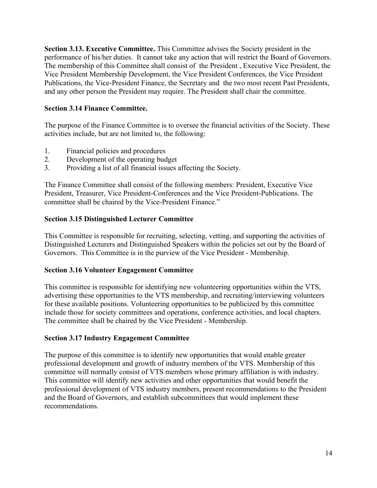**Section 3.13. Executive Committee.** This Committee advises the Society president in the performance of his/her duties. It cannot take any action that will restrict the Board of Governors. The membership of this Committee shall consist of the President , Executive Vice President, the Vice President Membership Development, the Vice President Conferences, the Vice President Publications, the Vice-President Finance, the Secretary and the two most recent Past Presidents, and any other person the President may require. The President shall chair the committee.

## **Section 3.14 Finance Committee.**

The purpose of the Finance Committee is to oversee the financial activities of the Society. These activities include, but are not limited to, the following:

- 1. Financial policies and procedures
- 2. Development of the operating budget
- 3. Providing a list of all financial issues affecting the Society.

The Finance Committee shall consist of the following members: President, Executive Vice President, Treasurer, Vice President-Conferences and the Vice President-Publications. The committee shall be chaired by the Vice-President Finance."

## **Section 3.15 Distinguished Lecturer Committee**

This Committee is responsible for recruiting, selecting, vetting, and supporting the activities of Distinguished Lecturers and Distinguished Speakers within the policies set out by the Board of Governors. This Committee is in the purview of the Vice President - Membership.

## **Section 3.16 Volunteer Engagement Committee**

This committee is responsible for identifying new volunteering opportunities within the VTS, advertising these opportunities to the VTS membership, and recruiting/interviewing volunteers for these available positions. Volunteering opportunities to be publicized by this committee include those for society committees and operations, conference activities, and local chapters. The committee shall be chaired by the Vice President - Membership.

## **Section 3.17 Industry Engagement Committee**

The purpose of this committee is to identify new opportunities that would enable greater professional development and growth of industry members of the VTS. Membership of this committee will normally consist of VTS members whose primary affiliation is with industry. This committee will identify new activities and other opportunities that would benefit the professional development of VTS industry members, present recommendations to the President and the Board of Governors, and establish subcommittees that would implement these recommendations.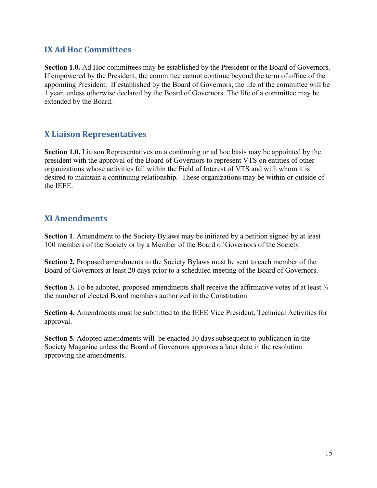# <span id="page-15-2"></span>**IX Ad Hoc Committees**

**Section 1.0.** Ad Hoc committees may be established by the President or the Board of Governors. If empowered by the President, the committee cannot continue beyond the term of office of the appointing President. If established by the Board of Governors, the life of the committee will be 1 year, unless otherwise declared by the Board of Governors. The life of a committee may be extended by the Board.

# <span id="page-15-1"></span>**X Liaison Representatives**

**Section 1.0.** Liaison Representatives on a continuing or ad hoc basis may be appointed by the president with the approval of the Board of Governors to represent VTS on entities of other organizations whose activities fall within the Field of Interest of VTS and with whom it is desired to maintain a continuing relationship. These organizations may be within or outside of the IEEE.

# <span id="page-15-0"></span>**XI Amendments**

**Section 1**. Amendment to the Society Bylaws may be initiated by a petition signed by at least 100 members of the Society or by a Member of the Board of Governors of the Society.

**Section 2.** Proposed amendments to the Society Bylaws must be sent to each member of the Board of Governors at least 20 days prior to a scheduled meeting of the Board of Governors.

**Section 3.** To be adopted, proposed amendments shall receive the affirmative votes of at least ⅔ the number of elected Board members authorized in the Constitution.

**Section 4.** Amendments must be submitted to the IEEE Vice President, Technical Activities for approval.

**Section 5.** Adopted amendments will be enacted 30 days subsequent to publication in the Society Magazine unless the Board of Governors approves a later date in the resolution approving the amendments.